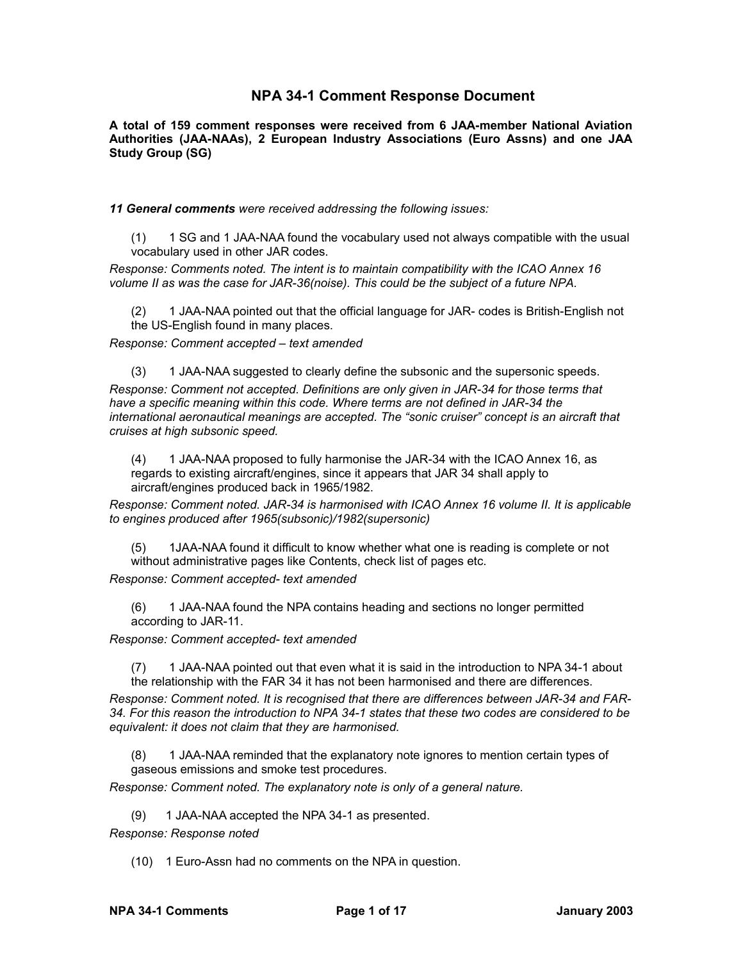# **NPA 34-1 Comment Response Document**

**A total of 159 comment responses were received from 6 JAA-member National Aviation Authorities (JAA-NAAs), 2 European Industry Associations (Euro Assns) and one JAA Study Group (SG)** 

*11 General comments were received addressing the following issues:*

(1) 1 SG and 1 JAA-NAA found the vocabulary used not always compatible with the usual vocabulary used in other JAR codes.

*Response: Comments noted. The intent is to maintain compatibility with the ICAO Annex 16 volume II as was the case for JAR-36(noise). This could be the subject of a future NPA.*

(2) 1 JAA-NAA pointed out that the official language for JAR- codes is British-English not the US-English found in many places.

*Response: Comment accepted – text amended*

(3) 1 JAA-NAA suggested to clearly define the subsonic and the supersonic speeds. *Response: Comment not accepted. Definitions are only given in JAR-34 for those terms that have a specific meaning within this code. Where terms are not defined in JAR-34 the international aeronautical meanings are accepted. The "sonic cruiser" concept is an aircraft that cruises at high subsonic speed.*

(4) 1 JAA-NAA proposed to fully harmonise the JAR-34 with the ICAO Annex 16, as regards to existing aircraft/engines, since it appears that JAR 34 shall apply to aircraft/engines produced back in 1965/1982.

*Response: Comment noted. JAR-34 is harmonised with ICAO Annex 16 volume II. It is applicable to engines produced after 1965(subsonic)/1982(supersonic)*

(5) 1JAA-NAA found it difficult to know whether what one is reading is complete or not without administrative pages like Contents, check list of pages etc.

*Response: Comment accepted- text amended*

(6) 1 JAA-NAA found the NPA contains heading and sections no longer permitted according to JAR-11.

*Response: Comment accepted- text amended*

(7) 1 JAA-NAA pointed out that even what it is said in the introduction to NPA 34-1 about the relationship with the FAR 34 it has not been harmonised and there are differences.

*Response: Comment noted. It is recognised that there are differences between JAR-34 and FAR-34. For this reason the introduction to NPA 34-1 states that these two codes are considered to be equivalent: it does not claim that they are harmonised.*

(8) 1 JAA-NAA reminded that the explanatory note ignores to mention certain types of gaseous emissions and smoke test procedures.

*Response: Comment noted. The explanatory note is only of a general nature.*

(9) 1 JAA-NAA accepted the NPA 34-1 as presented.

*Response: Response noted*

(10) 1 Euro-Assn had no comments on the NPA in question.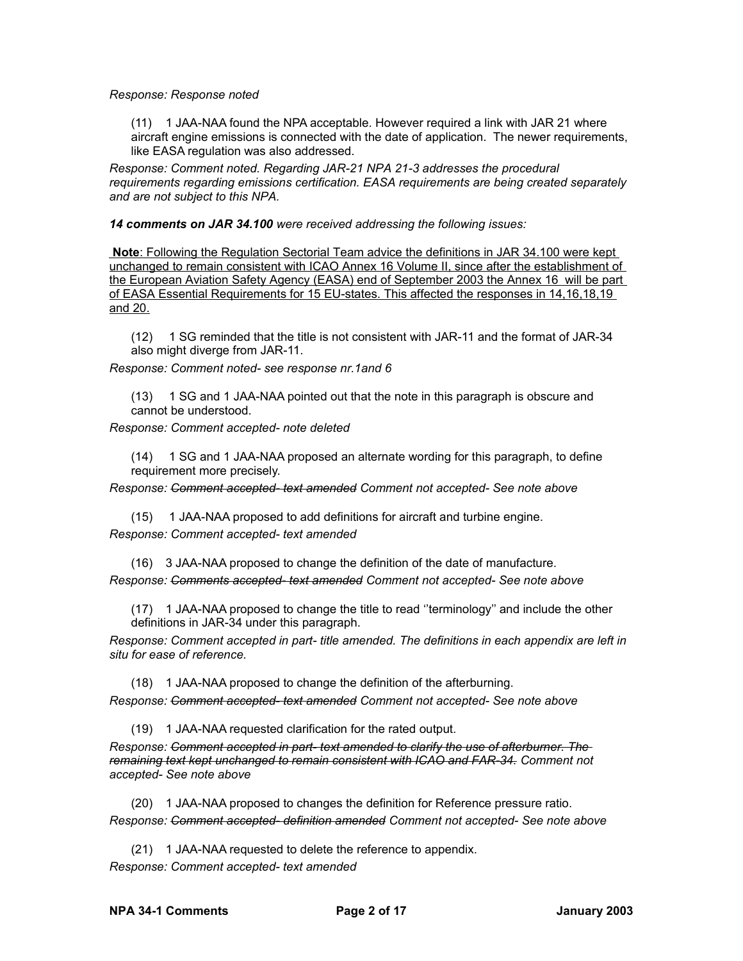### *Response: Response noted*

(11) 1 JAA-NAA found the NPA acceptable. However required a link with JAR 21 where aircraft engine emissions is connected with the date of application. The newer requirements, like EASA regulation was also addressed.

*Response: Comment noted. Regarding JAR-21 NPA 21-3 addresses the procedural requirements regarding emissions certification. EASA requirements are being created separately and are not subject to this NPA.*

*14 comments on JAR 34.100 were received addressing the following issues:*

 **Note** : Following the Regulation Sectorial Team advice the definitions in JAR 34.100 were kept unchanged to remain consistent with ICAO Annex 16 Volume II, since after the establishment of the European Aviation Safety Agency (EASA) end of September 2003 the Annex 16 will be part of EASA Essential Requirements for 15 EU-states. This affected the responses in 14,16,18,19 and 20.

(12) 1 SG reminded that the title is not consistent with JAR-11 and the format of JAR-34 also might diverge from JAR-11.

*Response: Comment noted- see response nr.1and 6*

(13) 1 SG and 1 JAA-NAA pointed out that the note in this paragraph is obscure and cannot be understood.

*Response: Comment accepted- note deleted*

(14) 1 SG and 1 JAA-NAA proposed an alternate wording for this paragraph, to define requirement more precisely.

*Response: Comment accepted- text amended Comment not accepted- See note above*

(15) 1 JAA-NAA proposed to add definitions for aircraft and turbine engine. *Response: Comment accepted- text amended*

(16) 3 JAA-NAA proposed to change the definition of the date of manufacture.

*Response: Comments accepted- text amended Comment not accepted- See note above*

(17) 1 JAA-NAA proposed to change the title to read ''terminology'' and include the other definitions in JAR-34 under this paragraph.

*Response: Comment accepted in part- title amended. The definitions in each appendix are left in situ for ease of reference.*

(18) 1 JAA-NAA proposed to change the definition of the afterburning.

*Response: Comment accepted- text amended Comment not accepted- See note above*

(19) 1 JAA-NAA requested clarification for the rated output.

*Response: Comment accepted in part- text amended to clarify the use of afterburner. The remaining text kept unchanged to remain consistent with ICAO and FAR-34. Comment not accepted- See note above*

(20) 1 JAA-NAA proposed to changes the definition for Reference pressure ratio. *Response: Comment accepted- definition amended Comment not accepted- See note above*

(21) 1 JAA-NAA requested to delete the reference to appendix. *Response: Comment accepted- text amended*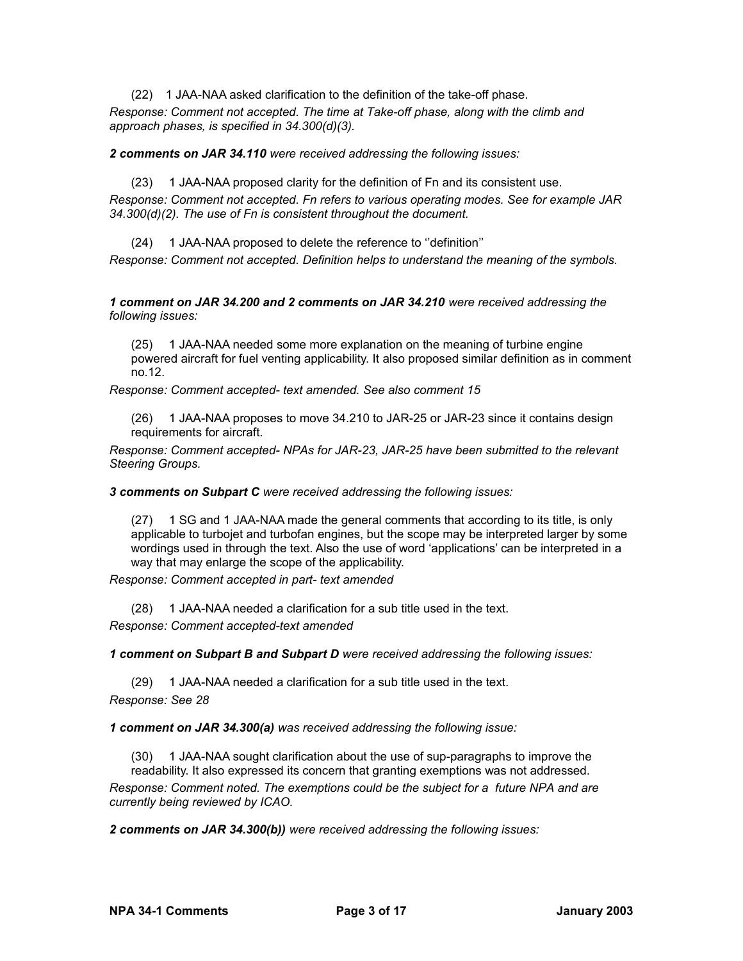(22) 1 JAA-NAA asked clarification to the definition of the take-off phase.

*Response: Comment not accepted. The time at Take-off phase, along with the climb and approach phases, is specified in 34.300(d)(3).*

*2 comments on JAR 34.110 were received addressing the following issues:*

(23) 1 JAA-NAA proposed clarity for the definition of Fn and its consistent use.

*Response: Comment not accepted. Fn refers to various operating modes. See for example JAR 34.300(d)(2). The use of Fn is consistent throughout the document.*

(24) 1 JAA-NAA proposed to delete the reference to ''definition''

*Response: Comment not accepted. Definition helps to understand the meaning of the symbols.*

*1 comment on JAR 34.200 and 2 comments on JAR 34.210 were received addressing the following issues:*

(25) 1 JAA-NAA needed some more explanation on the meaning of turbine engine powered aircraft for fuel venting applicability. It also proposed similar definition as in comment no.12.

*Response: Comment accepted- text amended. See also comment 15*

(26) 1 JAA-NAA proposes to move 34.210 to JAR-25 or JAR-23 since it contains design requirements for aircraft.

*Response: Comment accepted- NPAs for JAR-23, JAR-25 have been submitted to the relevant Steering Groups.*

*3 comments on Subpart C were received addressing the following issues:*

(27) 1 SG and 1 JAA-NAA made the general comments that according to its title, is only applicable to turbojet and turbofan engines, but the scope may be interpreted larger by some wordings used in through the text. Also the use of word 'applications' can be interpreted in a way that may enlarge the scope of the applicability.

*Response: Comment accepted in part- text amended*

(28) 1 JAA-NAA needed a clarification for a sub title used in the text.

*Response: Comment accepted-text amended*

*1 comment on Subpart B and Subpart D were received addressing the following issues:*

(29) 1 JAA-NAA needed a clarification for a sub title used in the text.

*Response: See 28*

*1 comment on JAR 34.300(a) was received addressing the following issue:*

(30) 1 JAA-NAA sought clarification about the use of sup-paragraphs to improve the readability. It also expressed its concern that granting exemptions was not addressed.

*Response: Comment noted. The exemptions could be the subject for a future NPA and are currently being reviewed by ICAO.*

*2 comments on JAR 34.300(b)) were received addressing the following issues:*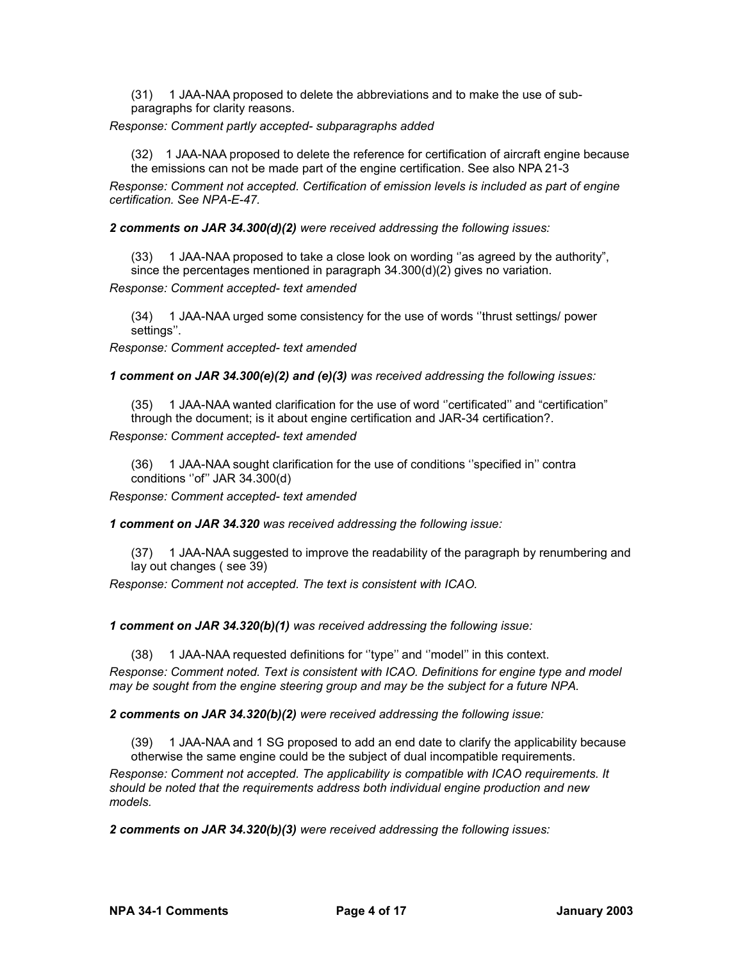(31) 1 JAA-NAA proposed to delete the abbreviations and to make the use of subparagraphs for clarity reasons.

*Response: Comment partly accepted- subparagraphs added*

(32) 1 JAA-NAA proposed to delete the reference for certification of aircraft engine because the emissions can not be made part of the engine certification. See also NPA 21-3

*Response: Comment not accepted. Certification of emission levels is included as part of engine certification. See NPA-E-47.*

*2 comments on JAR 34.300(d)(2) were received addressing the following issues:*

(33) 1 JAA-NAA proposed to take a close look on wording ''as agreed by the authority", since the percentages mentioned in paragraph 34.300(d)(2) gives no variation.

*Response: Comment accepted- text amended*

(34) 1 JAA-NAA urged some consistency for the use of words ''thrust settings/ power settings''.

*Response: Comment accepted- text amended*

*1 comment on JAR 34.300(e)(2) and (e)(3) was received addressing the following issues:*

(35) 1 JAA-NAA wanted clarification for the use of word ''certificated'' and "certification" through the document; is it about engine certification and JAR-34 certification?.

*Response: Comment accepted- text amended*

(36) 1 JAA-NAA sought clarification for the use of conditions ''specified in'' contra conditions "of" JAR 34.300(d)

*Response: Comment accepted- text amended*

*1 comment on JAR 34.320 was received addressing the following issue:*

(37) 1 JAA-NAA suggested to improve the readability of the paragraph by renumbering and lay out changes ( see 39)

*Response: Comment not accepted. The text is consistent with ICAO.*

*1 comment on JAR 34.320(b)(1) was received addressing the following issue:*

(38) 1 JAA-NAA requested definitions for ''type'' and ''model'' in this context. *Response: Comment noted. Text is consistent with ICAO. Definitions for engine type and model may be sought from the engine steering group and may be the subject for a future NPA.*

*2 comments on JAR 34.320(b)(2) were received addressing the following issue:*

(39) 1 JAA-NAA and 1 SG proposed to add an end date to clarify the applicability because otherwise the same engine could be the subject of dual incompatible requirements.

*Response: Comment not accepted. The applicability is compatible with ICAO requirements. It should be noted that the requirements address both individual engine production and new models.*

*2 comments on JAR 34.320(b)(3) were received addressing the following issues:*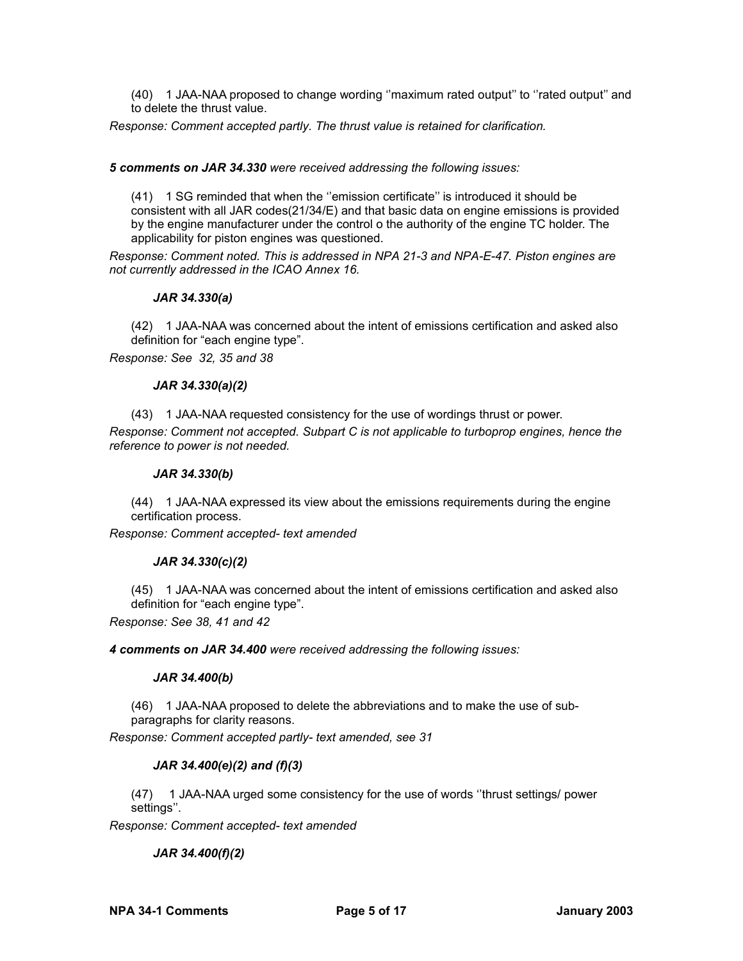(40) 1 JAA-NAA proposed to change wording ''maximum rated output'' to ''rated output'' and to delete the thrust value.

*Response: Comment accepted partly. The thrust value is retained for clarification.*

### *5 comments on JAR 34.330 were received addressing the following issues:*

(41) 1 SG reminded that when the ''emission certificate'' is introduced it should be consistent with all JAR codes(21/34/E) and that basic data on engine emissions is provided by the engine manufacturer under the control o the authority of the engine TC holder. The applicability for piston engines was questioned.

*Response: Comment noted. This is addressed in NPA 21-3 and NPA-E-47. Piston engines are not currently addressed in the ICAO Annex 16.*

### *JAR 34.330(a)*

(42) 1 JAA-NAA was concerned about the intent of emissions certification and asked also definition for "each engine type".

*Response: See 32, 35 and 38*

### *JAR 34.330(a)(2)*

(43) 1 JAA-NAA requested consistency for the use of wordings thrust or power. *Response: Comment not accepted. Subpart C is not applicable to turboprop engines, hence the reference to power is not needed.*

#### *JAR 34.330(b)*

(44) 1 JAA-NAA expressed its view about the emissions requirements during the engine certification process.

*Response: Comment accepted- text amended*

## *JAR 34.330(c)(2)*

(45) 1 JAA-NAA was concerned about the intent of emissions certification and asked also definition for "each engine type".

*Response: See 38, 41 and 42*

*4 comments on JAR 34.400 were received addressing the following issues:*

#### *JAR 34.400(b)*

(46) 1 JAA-NAA proposed to delete the abbreviations and to make the use of subparagraphs for clarity reasons.

*Response: Comment accepted partly- text amended, see 31*

## *JAR 34.400(e)(2) and (f)(3)*

(47) 1 JAA-NAA urged some consistency for the use of words ''thrust settings/ power settings''.

*Response: Comment accepted- text amended*

*JAR 34.400(f)(2)*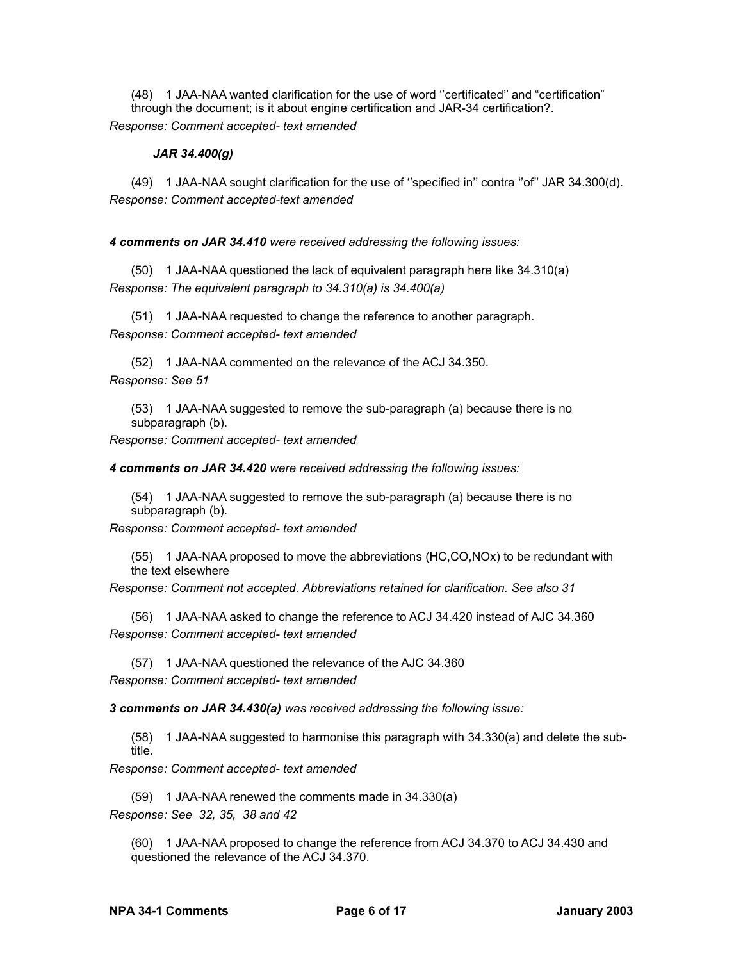(48) 1 JAA-NAA wanted clarification for the use of word ''certificated'' and "certification" through the document; is it about engine certification and JAR-34 certification?. *Response: Comment accepted- text amended* 

## *JAR 34.400(g)*

(49) 1 JAA-NAA sought clarification for the use of ''specified in'' contra ''of'' JAR 34.300(d). *Response: Comment accepted-text amended*

*4 comments on JAR 34.410 were received addressing the following issues:*

(50) 1 JAA-NAA questioned the lack of equivalent paragraph here like 34.310(a) *Response: The equivalent paragraph to 34.310(a) is 34.400(a)*

(51) 1 JAA-NAA requested to change the reference to another paragraph. *Response: Comment accepted- text amended*

(52) 1 JAA-NAA commented on the relevance of the ACJ 34.350. *Response: See 51*

(53) 1 JAA-NAA suggested to remove the sub-paragraph (a) because there is no subparagraph (b).

*Response: Comment accepted- text amended*

*4 comments on JAR 34.420 were received addressing the following issues:*

(54) 1 JAA-NAA suggested to remove the sub-paragraph (a) because there is no subparagraph (b).

*Response: Comment accepted- text amended*

(55) 1 JAA-NAA proposed to move the abbreviations (HC,CO,NOx) to be redundant with the text elsewhere

*Response: Comment not accepted. Abbreviations retained for clarification. See also 31*

(56) 1 JAA-NAA asked to change the reference to ACJ 34.420 instead of AJC 34.360 *Response: Comment accepted- text amended*

(57) 1 JAA-NAA questioned the relevance of the AJC 34.360

*Response: Comment accepted- text amended*

*3 comments on JAR 34.430(a) was received addressing the following issue:*

(58) 1 JAA-NAA suggested to harmonise this paragraph with 34.330(a) and delete the subtitle.

*Response: Comment accepted- text amended*

(59) 1 JAA-NAA renewed the comments made in 34.330(a) *Response: See 32, 35, 38 and 42*

(60) 1 JAA-NAA proposed to change the reference from ACJ 34.370 to ACJ 34.430 and questioned the relevance of the ACJ 34.370.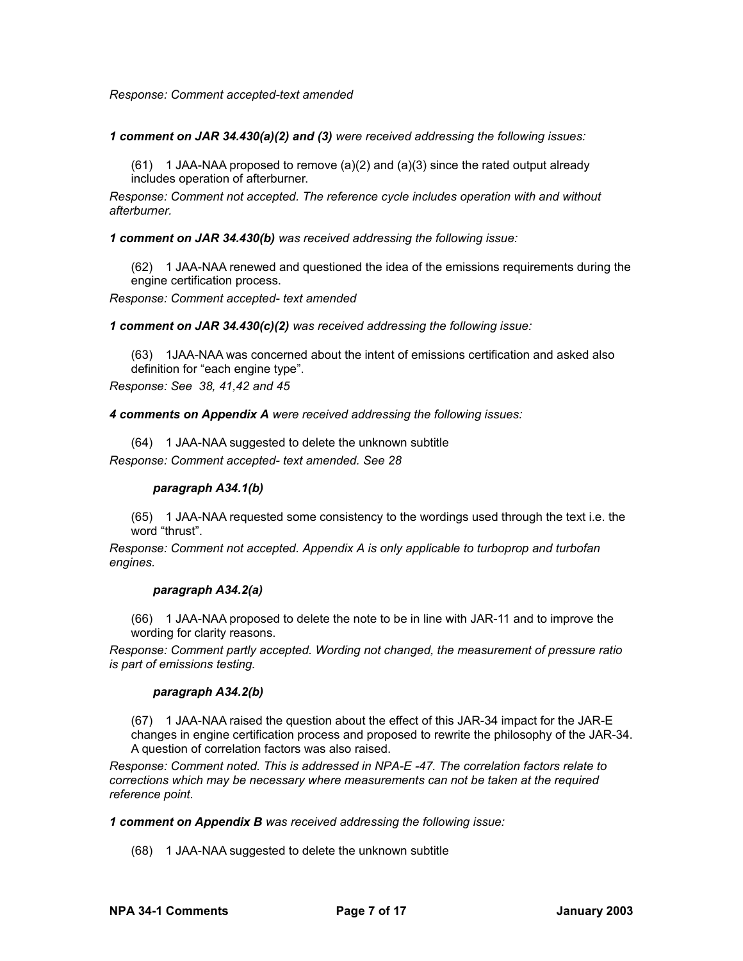### *Response: Comment accepted-text amended*

*1 comment on JAR 34.430(a)(2) and (3) were received addressing the following issues:*

 $(61)$  1 JAA-NAA proposed to remove  $(a)(2)$  and  $(a)(3)$  since the rated output already includes operation of afterburner.

*Response: Comment not accepted. The reference cycle includes operation with and without afterburner.*

*1 comment on JAR 34.430(b) was received addressing the following issue:*

(62) 1 JAA-NAA renewed and questioned the idea of the emissions requirements during the engine certification process.

*Response: Comment accepted- text amended*

*1 comment on JAR 34.430(c)(2) was received addressing the following issue:*

(63) 1JAA-NAA was concerned about the intent of emissions certification and asked also definition for "each engine type".

*Response: See 38, 41,42 and 45*

*4 comments on Appendix A were received addressing the following issues:*

(64) 1 JAA-NAA suggested to delete the unknown subtitle

*Response: Comment accepted- text amended. See 28*

#### *paragraph A34.1(b)*

(65) 1 JAA-NAA requested some consistency to the wordings used through the text i.e. the word "thrust".

*Response: Comment not accepted. Appendix A is only applicable to turboprop and turbofan engines.*

#### *paragraph A34.2(a)*

(66) 1 JAA-NAA proposed to delete the note to be in line with JAR-11 and to improve the wording for clarity reasons.

*Response: Comment partly accepted. Wording not changed, the measurement of pressure ratio is part of emissions testing.*

#### *paragraph A34.2(b)*

(67) 1 JAA-NAA raised the question about the effect of this JAR-34 impact for the JAR-E changes in engine certification process and proposed to rewrite the philosophy of the JAR-34. A question of correlation factors was also raised.

*Response: Comment noted. This is addressed in NPA-E -47. The correlation factors relate to corrections which may be necessary where measurements can not be taken at the required reference point.*

*1 comment on Appendix B was received addressing the following issue:*

(68) 1 JAA-NAA suggested to delete the unknown subtitle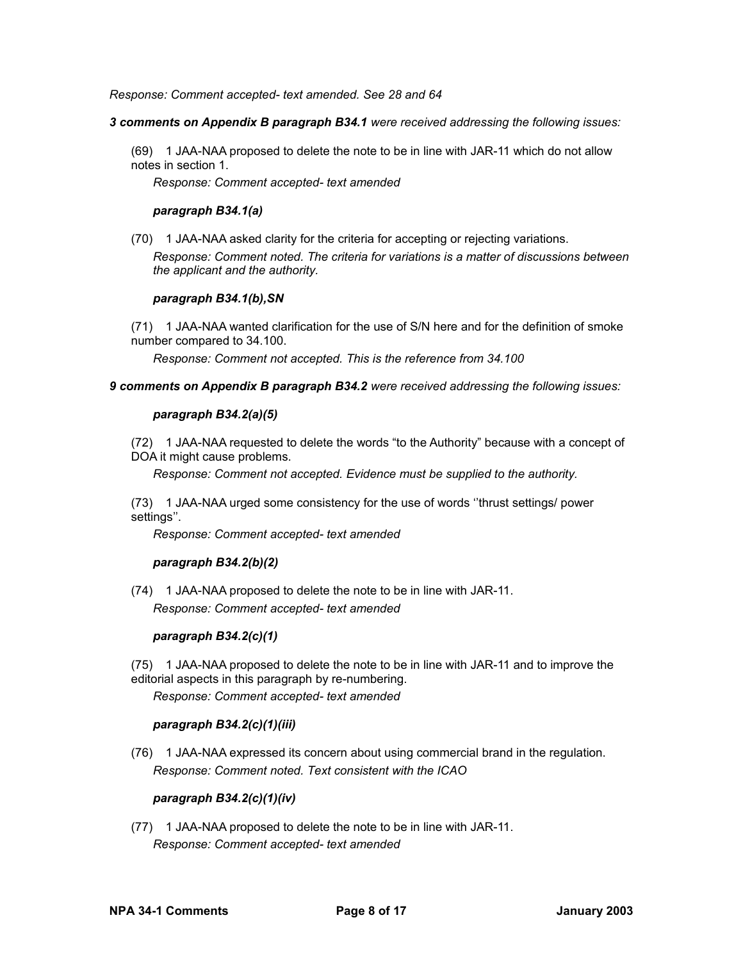*Response: Comment accepted- text amended. See 28 and 64*

### *3 comments on Appendix B paragraph B34.1 were received addressing the following issues:*

(69) 1 JAA-NAA proposed to delete the note to be in line with JAR-11 which do not allow notes in section 1.

*Response: Comment accepted- text amended*

## *paragraph B34.1(a)*

(70) 1 JAA-NAA asked clarity for the criteria for accepting or rejecting variations.

*Response: Comment noted. The criteria for variations is a matter of discussions between the applicant and the authority.*

### *paragraph B34.1(b),SN*

(71) 1 JAA-NAA wanted clarification for the use of S/N here and for the definition of smoke number compared to 34.100.

*Response: Comment not accepted. This is the reference from 34.100*

### *9 comments on Appendix B paragraph B34.2 were received addressing the following issues:*

## *paragraph B34.2(a)(5)*

(72) 1 JAA-NAA requested to delete the words "to the Authority" because with a concept of DOA it might cause problems.

*Response: Comment not accepted. Evidence must be supplied to the authority.*

(73) 1 JAA-NAA urged some consistency for the use of words ''thrust settings/ power settings''.

*Response: Comment accepted- text amended*

## *paragraph B34.2(b)(2)*

(74) 1 JAA-NAA proposed to delete the note to be in line with JAR-11. *Response: Comment accepted- text amended*

## *paragraph B34.2(c)(1)*

(75) 1 JAA-NAA proposed to delete the note to be in line with JAR-11 and to improve the editorial aspects in this paragraph by re-numbering.

*Response: Comment accepted- text amended*

## *paragraph B34.2(c)(1)(iii)*

(76) 1 JAA-NAA expressed its concern about using commercial brand in the regulation. *Response: Comment noted. Text consistent with the ICAO*

## *paragraph B34.2(c)(1)(iv)*

(77) 1 JAA-NAA proposed to delete the note to be in line with JAR-11. *Response: Comment accepted- text amended*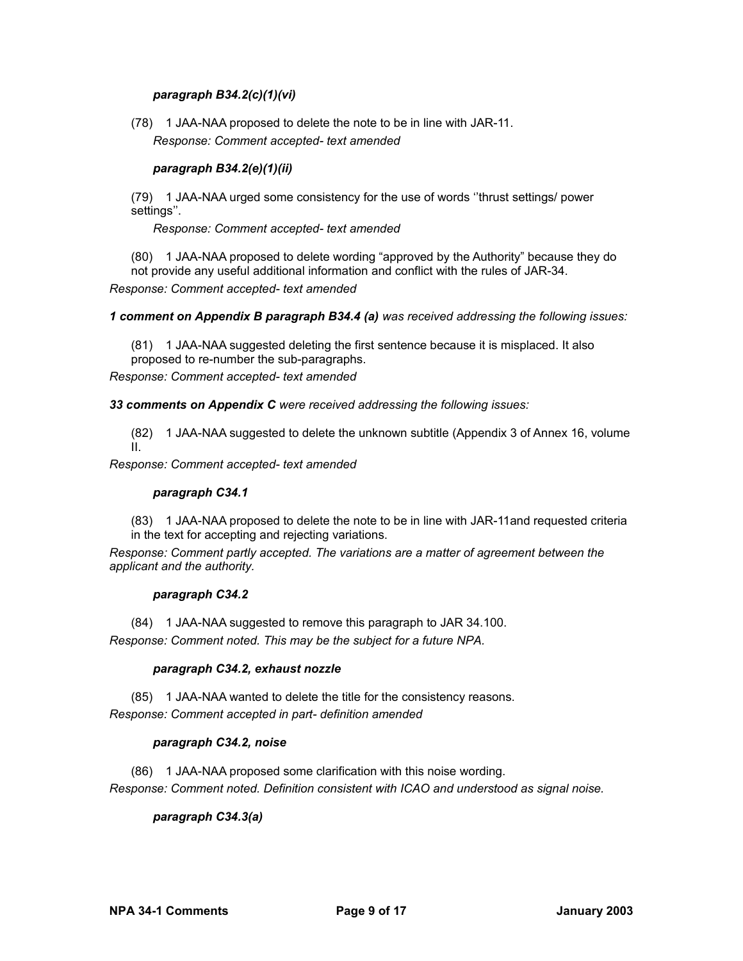## *paragraph B34.2(c)(1)(vi)*

(78) 1 JAA-NAA proposed to delete the note to be in line with JAR-11. *Response: Comment accepted- text amended*

## *paragraph B34.2(e)(1)(ii)*

(79) 1 JAA-NAA urged some consistency for the use of words ''thrust settings/ power settings''.

*Response: Comment accepted- text amended*

(80) 1 JAA-NAA proposed to delete wording "approved by the Authority" because they do not provide any useful additional information and conflict with the rules of JAR-34.

*Response: Comment accepted- text amended*

*1 comment on Appendix B paragraph B34.4 (a) was received addressing the following issues:*

(81) 1 JAA-NAA suggested deleting the first sentence because it is misplaced. It also proposed to re-number the sub-paragraphs.

*Response: Comment accepted- text amended*

*33 comments on Appendix C were received addressing the following issues:*

(82) 1 JAA-NAA suggested to delete the unknown subtitle (Appendix 3 of Annex 16, volume II.

*Response: Comment accepted- text amended*

#### *paragraph C34.1*

(83) 1 JAA-NAA proposed to delete the note to be in line with JAR-11and requested criteria in the text for accepting and rejecting variations.

*Response: Comment partly accepted. The variations are a matter of agreement between the applicant and the authority.*

## *paragraph C34.2*

(84) 1 JAA-NAA suggested to remove this paragraph to JAR 34.100. *Response: Comment noted. This may be the subject for a future NPA.*

## *paragraph C34.2, exhaust nozzle*

(85) 1 JAA-NAA wanted to delete the title for the consistency reasons. *Response: Comment accepted in part- definition amended*

## *paragraph C34.2, noise*

(86) 1 JAA-NAA proposed some clarification with this noise wording. *Response: Comment noted. Definition consistent with ICAO and understood as signal noise.*

## *paragraph C34.3(a)*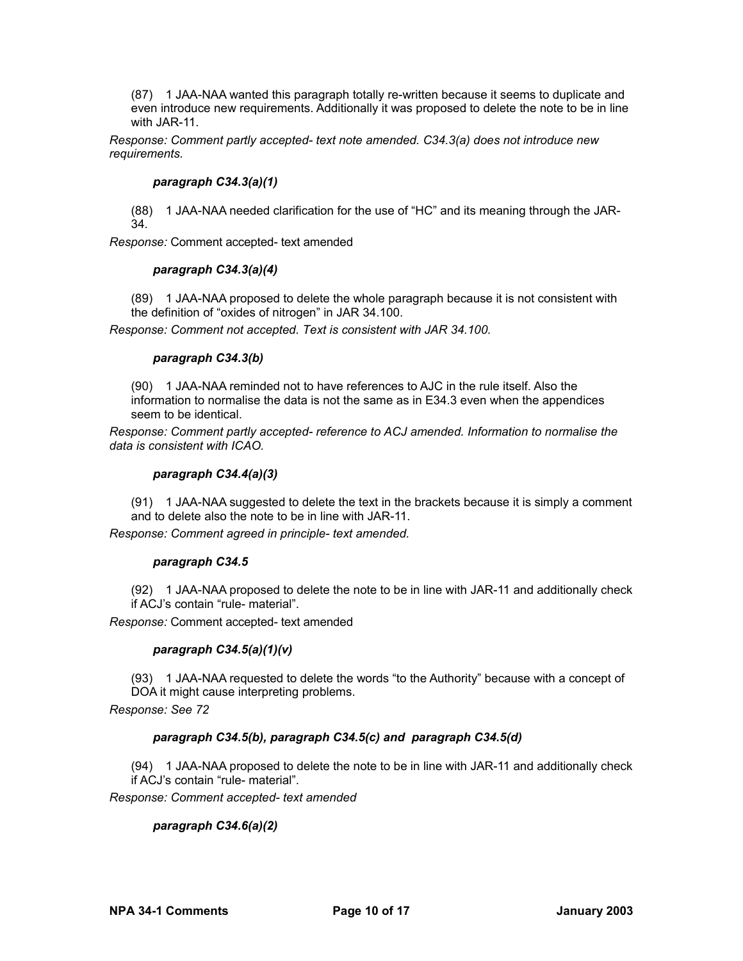(87) 1 JAA-NAA wanted this paragraph totally re-written because it seems to duplicate and even introduce new requirements. Additionally it was proposed to delete the note to be in line with JAR-11.

*Response: Comment partly accepted- text note amended. C34.3(a) does not introduce new requirements.*

### *paragraph C34.3(a)(1)*

(88) 1 JAA-NAA needed clarification for the use of "HC" and its meaning through the JAR-34.

*Response:* Comment accepted- text amended

### *paragraph C34.3(a)(4)*

(89) 1 JAA-NAA proposed to delete the whole paragraph because it is not consistent with the definition of "oxides of nitrogen" in JAR 34.100.

*Response: Comment not accepted. Text is consistent with JAR 34.100.*

### *paragraph C34.3(b)*

(90) 1 JAA-NAA reminded not to have references to AJC in the rule itself. Also the information to normalise the data is not the same as in E34.3 even when the appendices seem to be identical.

*Response: Comment partly accepted- reference to ACJ amended. Information to normalise the data is consistent with ICAO.*

### *paragraph C34.4(a)(3)*

(91) 1 JAA-NAA suggested to delete the text in the brackets because it is simply a comment and to delete also the note to be in line with JAR-11.

*Response: Comment agreed in principle- text amended.*

## *paragraph C34.5*

(92) 1 JAA-NAA proposed to delete the note to be in line with JAR-11 and additionally check if ACJ's contain "rule- material".

*Response:* Comment accepted- text amended

## *paragraph C34.5(a)(1)(v)*

(93) 1 JAA-NAA requested to delete the words "to the Authority" because with a concept of DOA it might cause interpreting problems.

*Response: See 72*

## *paragraph C34.5(b), paragraph C34.5(c) and paragraph C34.5(d)*

(94) 1 JAA-NAA proposed to delete the note to be in line with JAR-11 and additionally check if ACJ's contain "rule- material".

*Response: Comment accepted- text amended*

## *paragraph C34.6(a)(2)*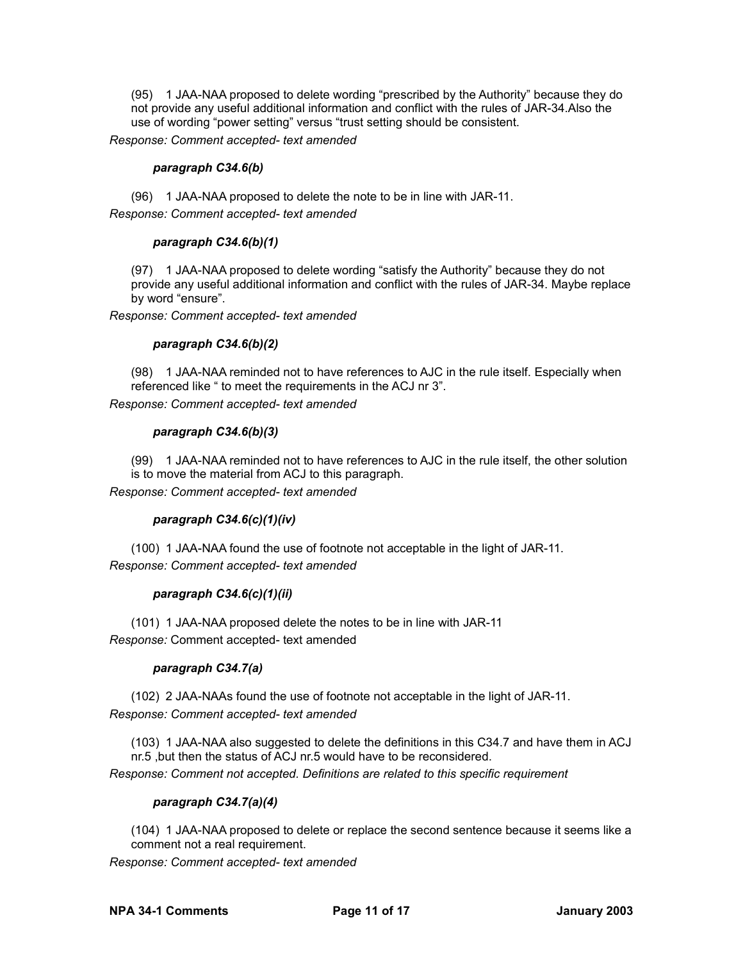(95) 1 JAA-NAA proposed to delete wording "prescribed by the Authority" because they do not provide any useful additional information and conflict with the rules of JAR-34.Also the use of wording "power setting" versus "trust setting should be consistent.

*Response: Comment accepted- text amended*

### *paragraph C34.6(b)*

(96) 1 JAA-NAA proposed to delete the note to be in line with JAR-11. *Response: Comment accepted- text amended*

### *paragraph C34.6(b)(1)*

(97) 1 JAA-NAA proposed to delete wording "satisfy the Authority" because they do not provide any useful additional information and conflict with the rules of JAR-34. Maybe replace by word "ensure".

*Response: Comment accepted- text amended*

### *paragraph C34.6(b)(2)*

(98) 1 JAA-NAA reminded not to have references to AJC in the rule itself. Especially when referenced like " to meet the requirements in the ACJ nr 3".

*Response: Comment accepted- text amended*

### *paragraph C34.6(b)(3)*

(99) 1 JAA-NAA reminded not to have references to AJC in the rule itself, the other solution is to move the material from ACJ to this paragraph.

*Response: Comment accepted- text amended*

## *paragraph C34.6(c)(1)(iv)*

(100) 1 JAA-NAA found the use of footnote not acceptable in the light of JAR-11. *Response: Comment accepted- text amended*

## *paragraph C34.6(c)(1)(ii)*

(101) 1 JAA-NAA proposed delete the notes to be in line with JAR-11 *Response:* Comment accepted- text amended

## *paragraph C34.7(a)*

(102) 2 JAA-NAAs found the use of footnote not acceptable in the light of JAR-11. *Response: Comment accepted- text amended*

(103) 1 JAA-NAA also suggested to delete the definitions in this C34.7 and have them in ACJ nr.5 ,but then the status of ACJ nr.5 would have to be reconsidered.

*Response: Comment not accepted. Definitions are related to this specific requirement*

## *paragraph C34.7(a)(4)*

(104) 1 JAA-NAA proposed to delete or replace the second sentence because it seems like a comment not a real requirement.

*Response: Comment accepted- text amended*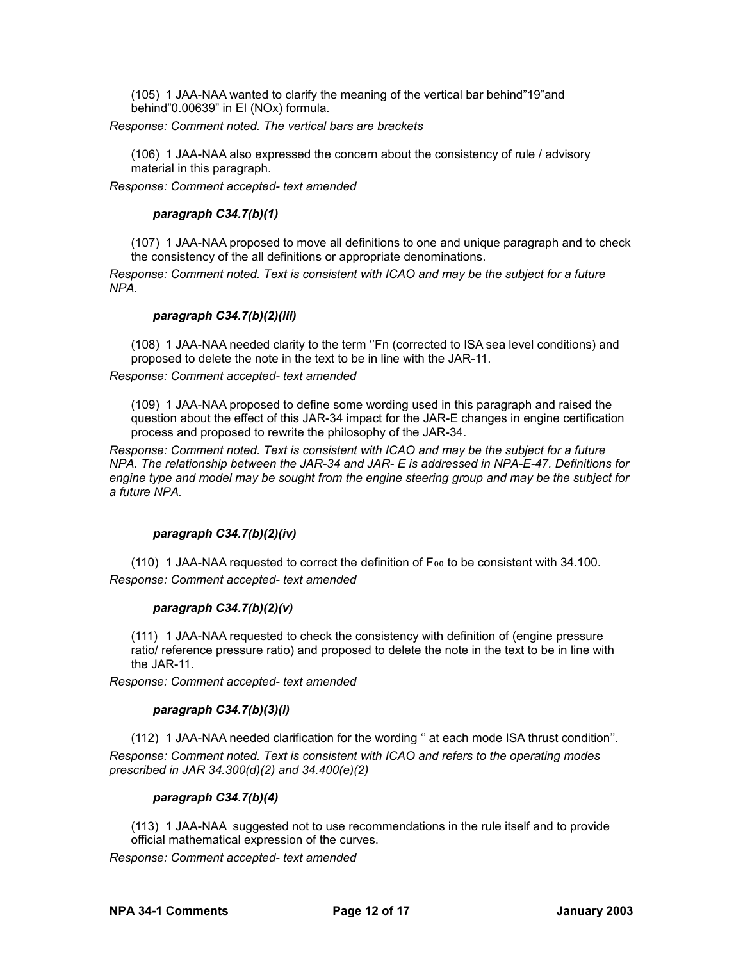(105) 1 JAA-NAA wanted to clarify the meaning of the vertical bar behind"19"and behind"0.00639" in EI (NOx) formula.

*Response: Comment noted. The vertical bars are brackets*

(106) 1 JAA-NAA also expressed the concern about the consistency of rule / advisory material in this paragraph.

*Response: Comment accepted- text amended*

## *paragraph C34.7(b)(1)*

(107) 1 JAA-NAA proposed to move all definitions to one and unique paragraph and to check the consistency of the all definitions or appropriate denominations.

*Response: Comment noted. Text is consistent with ICAO and may be the subject for a future NPA.*

## *paragraph C34.7(b)(2)(iii)*

(108) 1 JAA-NAA needed clarity to the term ''Fn (corrected to ISA sea level conditions) and proposed to delete the note in the text to be in line with the JAR-11.

*Response: Comment accepted- text amended*

(109) 1 JAA-NAA proposed to define some wording used in this paragraph and raised the question about the effect of this JAR-34 impact for the JAR-E changes in engine certification process and proposed to rewrite the philosophy of the JAR-34.

*Response: Comment noted. Text is consistent with ICAO and may be the subject for a future NPA. The relationship between the JAR-34 and JAR- E is addressed in NPA-E-47. Definitions for engine type and model may be sought from the engine steering group and may be the subject for a future NPA.*

## *paragraph C34.7(b)(2)(iv)*

 $(110)$  1 JAA-NAA requested to correct the definition of F $_{00}$  to be consistent with 34.100. *Response: Comment accepted- text amended*

## *paragraph C34.7(b)(2)(v)*

(111) 1 JAA-NAA requested to check the consistency with definition of (engine pressure ratio/ reference pressure ratio) and proposed to delete the note in the text to be in line with the JAR-11.

*Response: Comment accepted- text amended*

## *paragraph C34.7(b)(3)(i)*

(112) 1 JAA-NAA needed clarification for the wording '' at each mode ISA thrust condition''. *Response: Comment noted. Text is consistent with ICAO and refers to the operating modes prescribed in JAR 34.300(d)(2) and 34.400(e)(2)*

## *paragraph C34.7(b)(4)*

(113) 1 JAA-NAA suggested not to use recommendations in the rule itself and to provide official mathematical expression of the curves.

*Response: Comment accepted- text amended*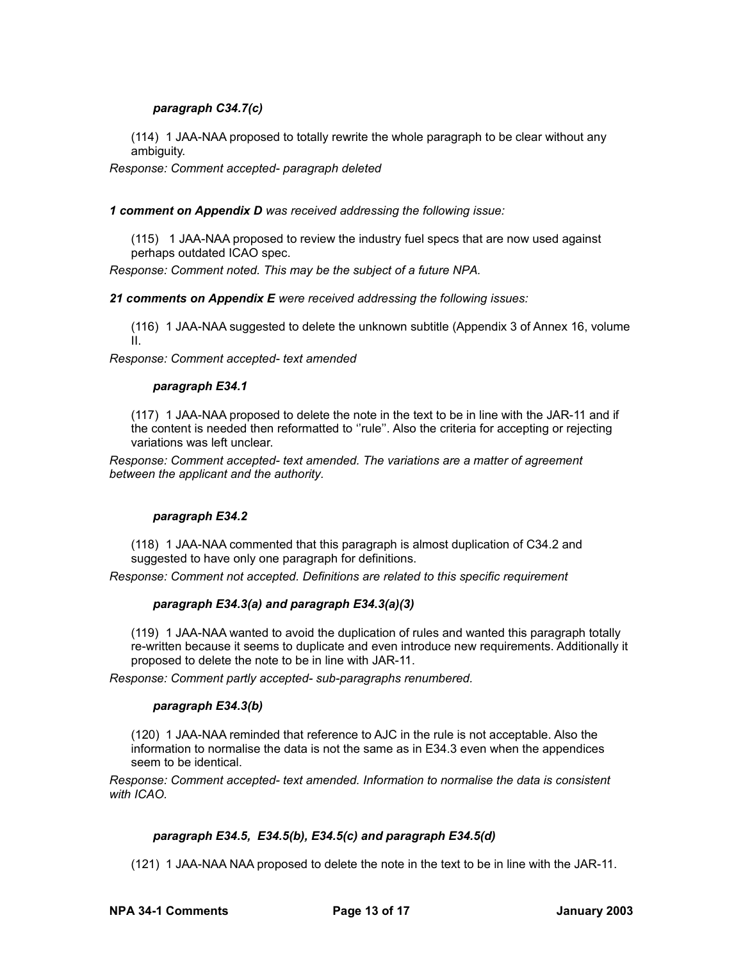## *paragraph C34.7(c)*

(114) 1 JAA-NAA proposed to totally rewrite the whole paragraph to be clear without any ambiguity.

*Response: Comment accepted- paragraph deleted*

*1 comment on Appendix D was received addressing the following issue:*

(115) 1 JAA-NAA proposed to review the industry fuel specs that are now used against perhaps outdated ICAO spec.

*Response: Comment noted. This may be the subject of a future NPA.*

*21 comments on Appendix E were received addressing the following issues:*

(116) 1 JAA-NAA suggested to delete the unknown subtitle (Appendix 3 of Annex 16, volume II.

*Response: Comment accepted- text amended*

### *paragraph E34.1*

(117) 1 JAA-NAA proposed to delete the note in the text to be in line with the JAR-11 and if the content is needed then reformatted to ''rule''. Also the criteria for accepting or rejecting variations was left unclear.

*Response: Comment accepted- text amended. The variations are a matter of agreement between the applicant and the authority.*

## *paragraph E34.2*

(118) 1 JAA-NAA commented that this paragraph is almost duplication of C34.2 and suggested to have only one paragraph for definitions.

*Response: Comment not accepted. Definitions are related to this specific requirement*

## *paragraph E34.3(a) and paragraph E34.3(a)(3)*

(119) 1 JAA-NAA wanted to avoid the duplication of rules and wanted this paragraph totally re-written because it seems to duplicate and even introduce new requirements. Additionally it proposed to delete the note to be in line with JAR-11.

*Response: Comment partly accepted- sub-paragraphs renumbered.*

## *paragraph E34.3(b)*

(120) 1 JAA-NAA reminded that reference to AJC in the rule is not acceptable. Also the information to normalise the data is not the same as in E34.3 even when the appendices seem to be identical.

*Response: Comment accepted- text amended. Information to normalise the data is consistent with ICAO.*

## *paragraph E34.5, E34.5(b), E34.5(c) and paragraph E34.5(d)*

(121) 1 JAA-NAA NAA proposed to delete the note in the text to be in line with the JAR-11.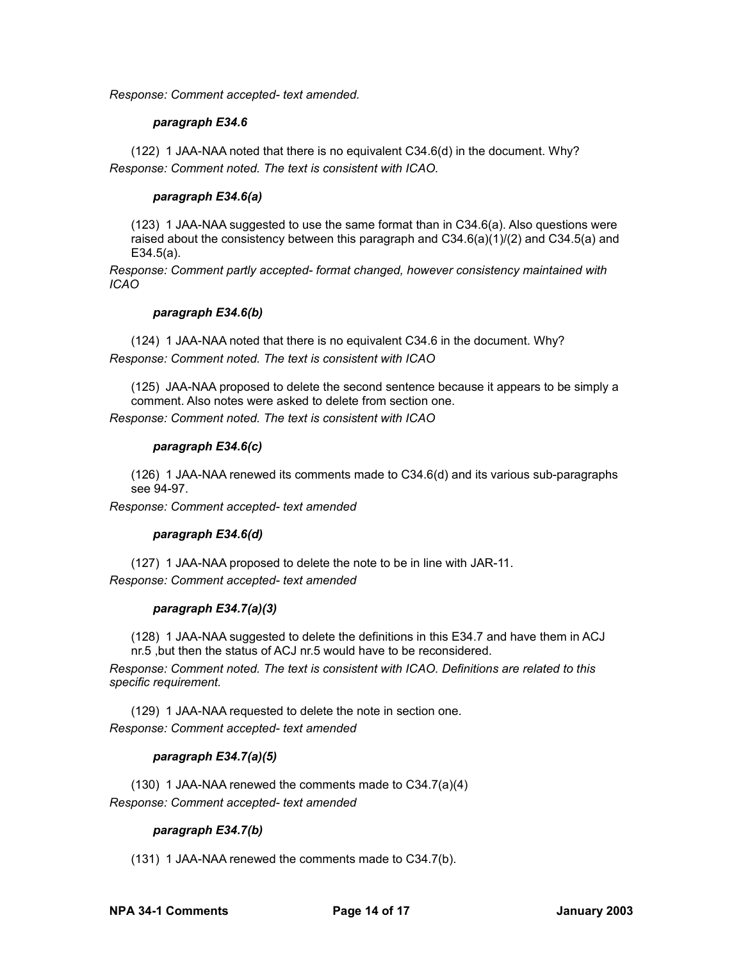*Response: Comment accepted- text amended.*

### *paragraph E34.6*

(122) 1 JAA-NAA noted that there is no equivalent C34.6(d) in the document. Why? *Response: Comment noted. The text is consistent with ICAO.*

## *paragraph E34.6(a)*

(123) 1 JAA-NAA suggested to use the same format than in C34.6(a). Also questions were raised about the consistency between this paragraph and  $C34.6(a)(1)/(2)$  and  $C34.5(a)$  and E34.5(a).

*Response: Comment partly accepted- format changed, however consistency maintained with ICAO*

## *paragraph E34.6(b)*

(124) 1 JAA-NAA noted that there is no equivalent C34.6 in the document. Why? *Response: Comment noted. The text is consistent with ICAO*

(125) JAA-NAA proposed to delete the second sentence because it appears to be simply a comment. Also notes were asked to delete from section one.

*Response: Comment noted. The text is consistent with ICAO*

### *paragraph E34.6(c)*

(126) 1 JAA-NAA renewed its comments made to C34.6(d) and its various sub-paragraphs see 94-97.

*Response: Comment accepted- text amended*

## *paragraph E34.6(d)*

(127) 1 JAA-NAA proposed to delete the note to be in line with JAR-11.

*Response: Comment accepted- text amended*

## *paragraph E34.7(a)(3)*

(128) 1 JAA-NAA suggested to delete the definitions in this E34.7 and have them in ACJ nr.5 ,but then the status of ACJ nr.5 would have to be reconsidered.

*Response: Comment noted. The text is consistent with ICAO. Definitions are related to this specific requirement.*

(129) 1 JAA-NAA requested to delete the note in section one. *Response: Comment accepted- text amended*

## *paragraph E34.7(a)(5)*

(130) 1 JAA-NAA renewed the comments made to C34.7(a)(4) *Response: Comment accepted- text amended*

## *paragraph E34.7(b)*

(131) 1 JAA-NAA renewed the comments made to C34.7(b).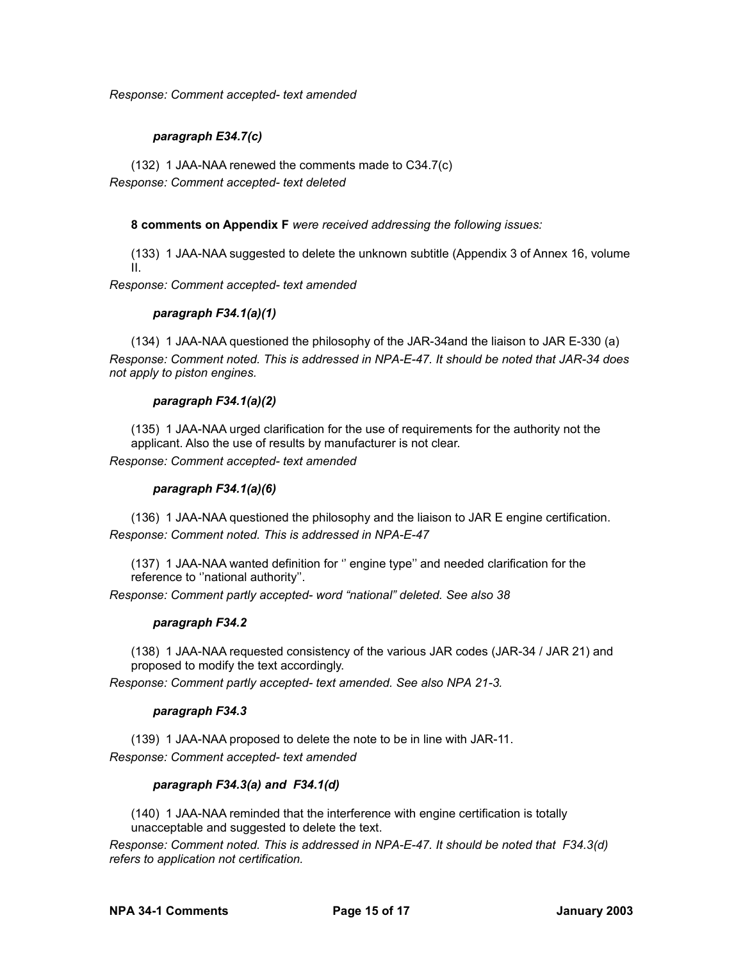*Response: Comment accepted- text amended*

## *paragraph E34.7(c)*

(132) 1 JAA-NAA renewed the comments made to C34.7(c) *Response: Comment accepted- text deleted*

## **8 comments on Appendix F** *were received addressing the following issues:*

(133) 1 JAA-NAA suggested to delete the unknown subtitle (Appendix 3 of Annex 16, volume II.

*Response: Comment accepted- text amended*

## *paragraph F34.1(a)(1)*

(134) 1 JAA-NAA questioned the philosophy of the JAR-34and the liaison to JAR E-330 (a) *Response: Comment noted. This is addressed in NPA-E-47. It should be noted that JAR-34 does not apply to piston engines.*

## *paragraph F34.1(a)(2)*

(135) 1 JAA-NAA urged clarification for the use of requirements for the authority not the applicant. Also the use of results by manufacturer is not clear. *Response: Comment accepted- text amended*

## *paragraph F34.1(a)(6)*

(136) 1 JAA-NAA questioned the philosophy and the liaison to JAR E engine certification. *Response: Comment noted. This is addressed in NPA-E-47*

(137) 1 JAA-NAA wanted definition for '' engine type'' and needed clarification for the reference to ''national authority''.

*Response: Comment partly accepted- word "national" deleted. See also 38*

## *paragraph F34.2*

(138) 1 JAA-NAA requested consistency of the various JAR codes (JAR-34 / JAR 21) and proposed to modify the text accordingly.

*Response: Comment partly accepted- text amended. See also NPA 21-3.*

## *paragraph F34.3*

(139) 1 JAA-NAA proposed to delete the note to be in line with JAR-11. *Response: Comment accepted- text amended*

## *paragraph F34.3(a) and F34.1(d)*

(140) 1 JAA-NAA reminded that the interference with engine certification is totally unacceptable and suggested to delete the text.

*Response: Comment noted. This is addressed in NPA-E-47. It should be noted that F34.3(d) refers to application not certification.*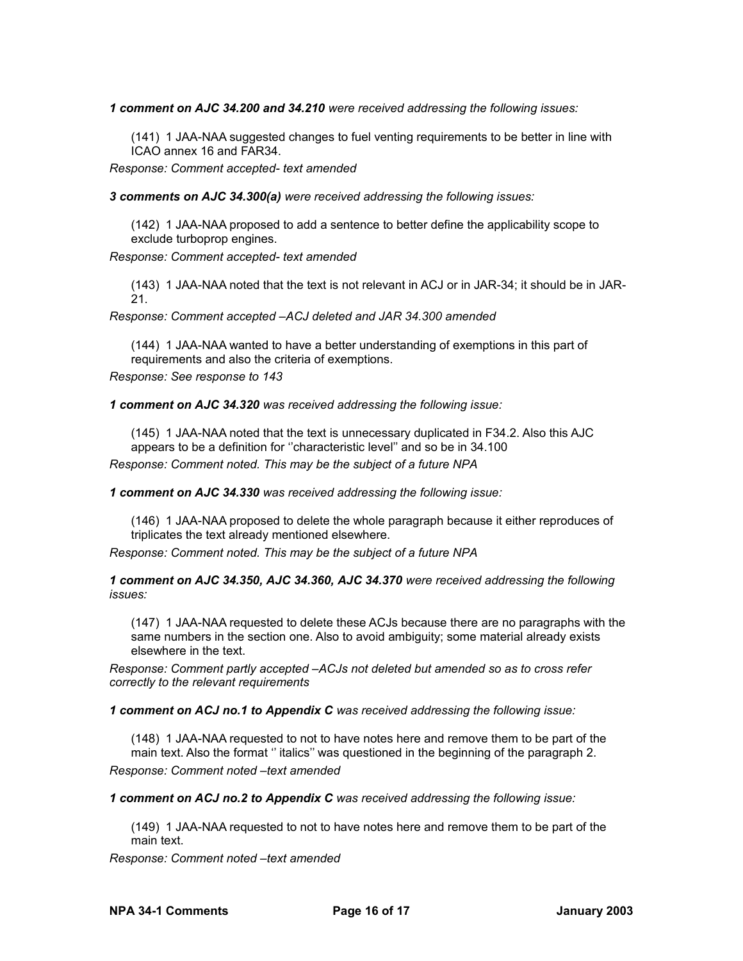*1 comment on AJC 34.200 and 34.210 were received addressing the following issues:*

(141) 1 JAA-NAA suggested changes to fuel venting requirements to be better in line with ICAO annex 16 and FAR34.

*Response: Comment accepted- text amended*

*3 comments on AJC 34.300(a) were received addressing the following issues:*

(142) 1 JAA-NAA proposed to add a sentence to better define the applicability scope to exclude turboprop engines.

*Response: Comment accepted- text amended*

(143) 1 JAA-NAA noted that the text is not relevant in ACJ or in JAR-34; it should be in JAR-21.

*Response: Comment accepted –ACJ deleted and JAR 34.300 amended*

(144) 1 JAA-NAA wanted to have a better understanding of exemptions in this part of requirements and also the criteria of exemptions.

*Response: See response to 143*

*1 comment on AJC 34.320 was received addressing the following issue:*

(145) 1 JAA-NAA noted that the text is unnecessary duplicated in F34.2. Also this AJC appears to be a definition for ''characteristic level'' and so be in 34.100 *Response: Comment noted. This may be the subject of a future NPA*

*1 comment on AJC 34.330 was received addressing the following issue:*

(146) 1 JAA-NAA proposed to delete the whole paragraph because it either reproduces of triplicates the text already mentioned elsewhere.

*Response: Comment noted. This may be the subject of a future NPA*

*1 comment on AJC 34.350, AJC 34.360, AJC 34.370 were received addressing the following issues:*

(147) 1 JAA-NAA requested to delete these ACJs because there are no paragraphs with the same numbers in the section one. Also to avoid ambiguity; some material already exists elsewhere in the text.

*Response: Comment partly accepted –ACJs not deleted but amended so as to cross refer correctly to the relevant requirements*

*1 comment on ACJ no.1 to Appendix C was received addressing the following issue:*

(148) 1 JAA-NAA requested to not to have notes here and remove them to be part of the main text. Also the format '' italics'' was questioned in the beginning of the paragraph 2. *Response: Comment noted –text amended*

*1 comment on ACJ no.2 to Appendix C was received addressing the following issue:*

(149) 1 JAA-NAA requested to not to have notes here and remove them to be part of the main text.

*Response: Comment noted –text amended*